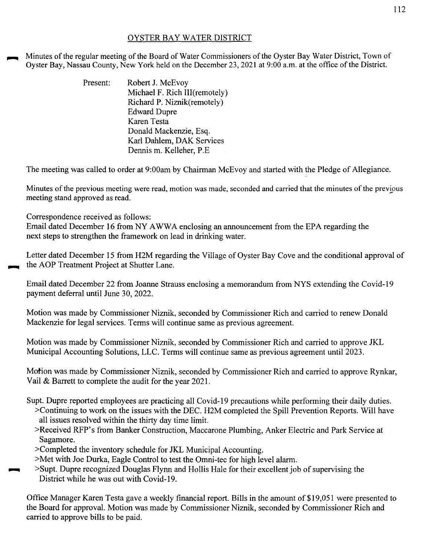## OYSTER BAY WATER DISTRICT

Minutes of the regular meeting of the Board of Water Commissioners of the Oyster Bay Water District, Town of Oyster Bay, Nassau County, New York held on the December 23, 2021 at 9:00a.m. at the office of the District.

| Present: | Robert J. McEvoy              |
|----------|-------------------------------|
|          | Michael F. Rich III(remotely) |
|          | Richard P. Niznik(remotely)   |
|          | <b>Edward Dupre</b>           |
|          | Karen Testa                   |
|          | Donald Mackenzie, Esq.        |
|          | Karl Dahlem, DAK Services     |
|          | Dennis m. Kelleher, P.E.      |

The meeting was called to order at 9:00am by Chairman McEvoy and started with the Pledge of Allegiance.

Minutes of the previous meeting were read, motion was made, seconded and carried that the minutes of the previous meeting stand approved as read.

Correspondence received as follows:

Email dated December 16 from NY A WW A enclosing an announcement from the EPA regarding the next steps to strengthen the framework on lead in drinking water.

Letter dated December 15 from H2M regarding the Village of Oyster Bay Cove and the conditional approval of the AOP Treatment Project at Shutter Lane.

Email dated December 22 from Joanne Strauss enclosing a memorandum from NYS extending the Covid-19 payment deferral until June 30, 2022.

Motion was made by Commissioner Niznik, seconded by Commissioner Rich and carried to renew Donald Mackenzie for legal services. Terms will continue same as previous agreement.

Motion was made by Commissioner Niznik, seconded by Commissioner Rich and carried to approve JKL Municipal Accounting Solutions, LLC. Terms will continue same as previous agreement until 2023.

Motion was made by Commissioner Niznik, seconded by Commissioner Rich and carried to approve Rynkar, Vail & Barrett to complete the audit for the year 2021.

Supt. Dupre reported employees are practicing all Covid-19 precautions while performing their daily duties.

- >Continuing to work on the issues with the DEC. H2M completed the Spill Prevention Reports. Will have all issues resolved within the thirty day time limit.
- >Received RFP's from Banker Construction, Maccarone Plumbing, Anker Electric and Park Service at Sagamore.
- >Completed the inventory schedule for JKL Municipal Accounting.
- >Met with Joe Durka, Eagle Control to test the Omni-tec for high level alarm.
- ...... >Supt. Dupre recognized Douglas Flynn and Hollis Hale for their excellent job of supervising the District while he was out with Covid-19.

Office Manager Karen Testa gave a weekly financial report. Bills in the amount of \$19,051 were presented to the Board for approval. Motion was made by Commissioner Niznik, seconded by Commissioner Rich and carried to approve bills to be paid.